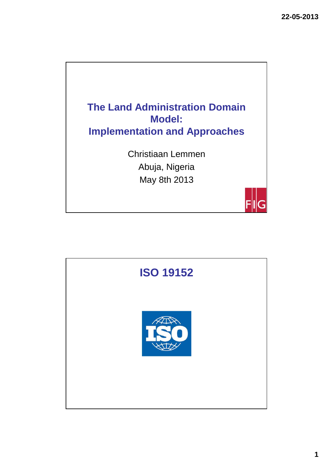

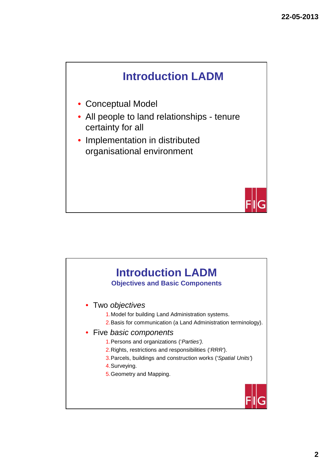

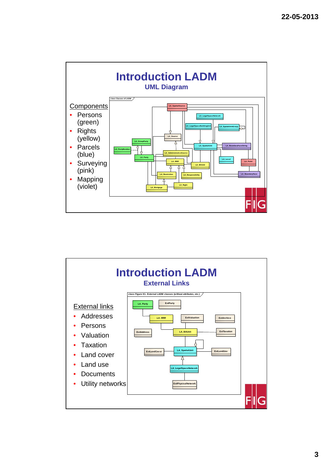

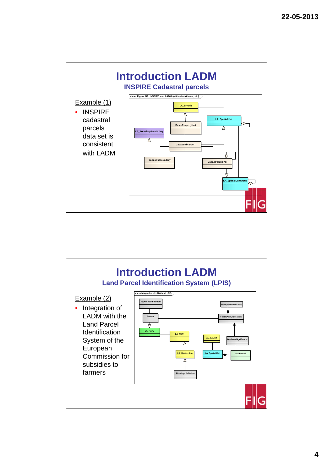

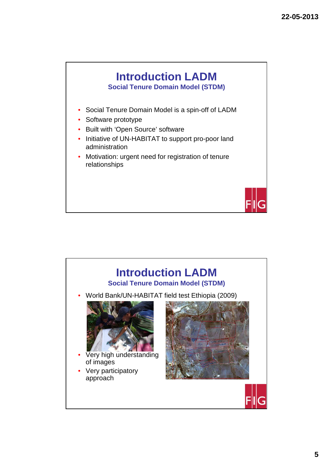



**5**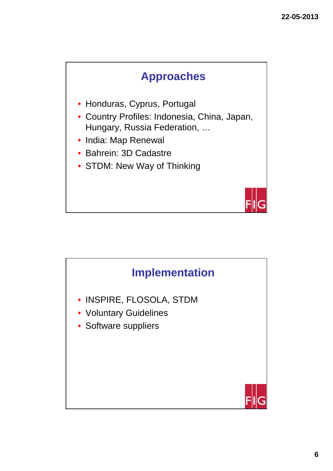

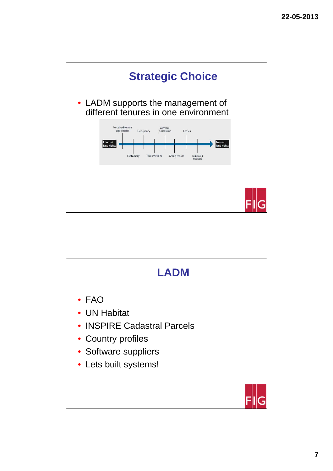